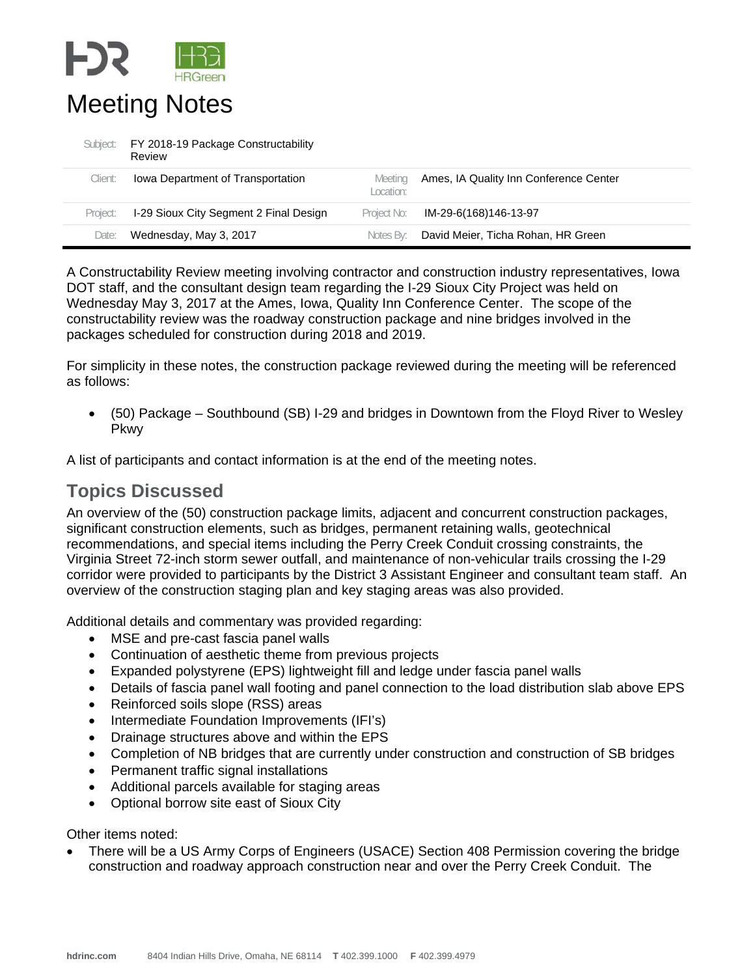

|          | Subject: FY 2018-19 Package Constructability<br>Review |                       |                                              |
|----------|--------------------------------------------------------|-----------------------|----------------------------------------------|
| Client:  | lowa Department of Transportation                      | Meeting<br>l ocation: | Ames, IA Quality Inn Conference Center       |
| Project: | I-29 Sioux City Segment 2 Final Design                 |                       | Project No: IM-29-6(168)146-13-97            |
| Date:    | Wednesday, May 3, 2017                                 |                       | Notes By: David Meier, Ticha Rohan, HR Green |

A Constructability Review meeting involving contractor and construction industry representatives, Iowa DOT staff, and the consultant design team regarding the I-29 Sioux City Project was held on Wednesday May 3, 2017 at the Ames, Iowa, Quality Inn Conference Center. The scope of the constructability review was the roadway construction package and nine bridges involved in the packages scheduled for construction during 2018 and 2019.

For simplicity in these notes, the construction package reviewed during the meeting will be referenced as follows:

 (50) Package – Southbound (SB) I-29 and bridges in Downtown from the Floyd River to Wesley Pkwy

A list of participants and contact information is at the end of the meeting notes.

## **Topics Discussed**

An overview of the (50) construction package limits, adjacent and concurrent construction packages, significant construction elements, such as bridges, permanent retaining walls, geotechnical recommendations, and special items including the Perry Creek Conduit crossing constraints, the Virginia Street 72-inch storm sewer outfall, and maintenance of non-vehicular trails crossing the I-29 corridor were provided to participants by the District 3 Assistant Engineer and consultant team staff. An overview of the construction staging plan and key staging areas was also provided.

Additional details and commentary was provided regarding:

- MSE and pre-cast fascia panel walls
- Continuation of aesthetic theme from previous projects
- Expanded polystyrene (EPS) lightweight fill and ledge under fascia panel walls
- Details of fascia panel wall footing and panel connection to the load distribution slab above EPS
- Reinforced soils slope (RSS) areas
- Intermediate Foundation Improvements (IFI's)
- Drainage structures above and within the EPS
- Completion of NB bridges that are currently under construction and construction of SB bridges
- Permanent traffic signal installations
- Additional parcels available for staging areas
- Optional borrow site east of Sioux City

Other items noted:

 There will be a US Army Corps of Engineers (USACE) Section 408 Permission covering the bridge construction and roadway approach construction near and over the Perry Creek Conduit. The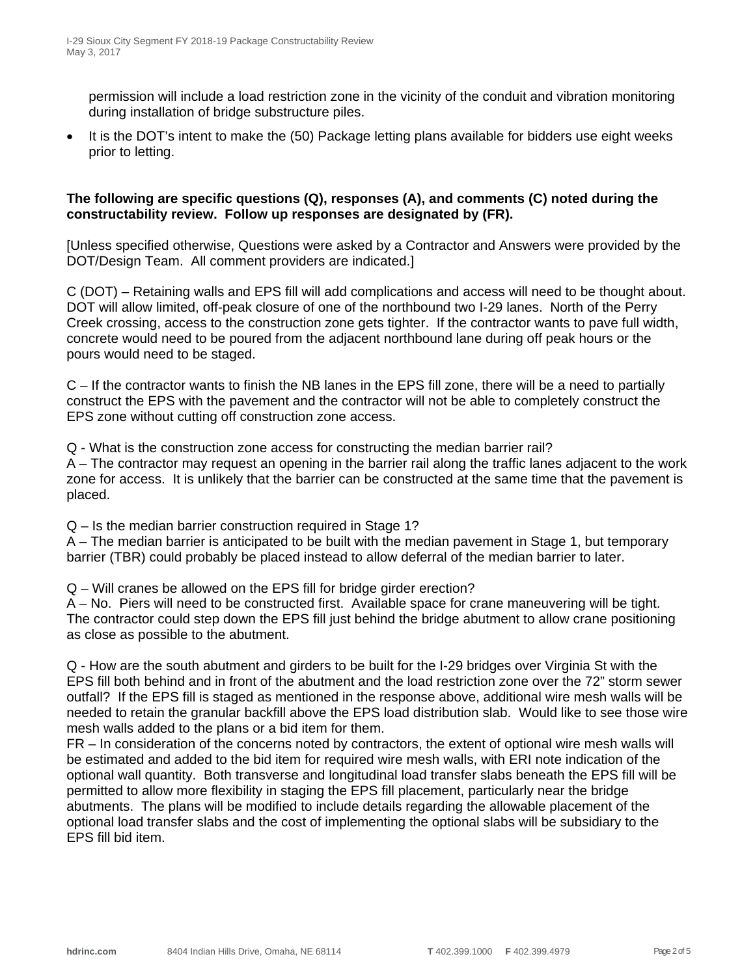permission will include a load restriction zone in the vicinity of the conduit and vibration monitoring during installation of bridge substructure piles.

• It is the DOT's intent to make the (50) Package letting plans available for bidders use eight weeks prior to letting.

## **The following are specific questions (Q), responses (A), and comments (C) noted during the constructability review. Follow up responses are designated by (FR).**

[Unless specified otherwise, Questions were asked by a Contractor and Answers were provided by the DOT/Design Team. All comment providers are indicated.]

C (DOT) – Retaining walls and EPS fill will add complications and access will need to be thought about. DOT will allow limited, off-peak closure of one of the northbound two I-29 lanes. North of the Perry Creek crossing, access to the construction zone gets tighter. If the contractor wants to pave full width, concrete would need to be poured from the adjacent northbound lane during off peak hours or the pours would need to be staged.

C – If the contractor wants to finish the NB lanes in the EPS fill zone, there will be a need to partially construct the EPS with the pavement and the contractor will not be able to completely construct the EPS zone without cutting off construction zone access.

Q - What is the construction zone access for constructing the median barrier rail?

A – The contractor may request an opening in the barrier rail along the traffic lanes adjacent to the work zone for access. It is unlikely that the barrier can be constructed at the same time that the pavement is placed.

Q – Is the median barrier construction required in Stage 1?

A – The median barrier is anticipated to be built with the median pavement in Stage 1, but temporary barrier (TBR) could probably be placed instead to allow deferral of the median barrier to later.

Q – Will cranes be allowed on the EPS fill for bridge girder erection?

A – No. Piers will need to be constructed first. Available space for crane maneuvering will be tight. The contractor could step down the EPS fill just behind the bridge abutment to allow crane positioning as close as possible to the abutment.

Q - How are the south abutment and girders to be built for the I-29 bridges over Virginia St with the EPS fill both behind and in front of the abutment and the load restriction zone over the 72" storm sewer outfall? If the EPS fill is staged as mentioned in the response above, additional wire mesh walls will be needed to retain the granular backfill above the EPS load distribution slab. Would like to see those wire mesh walls added to the plans or a bid item for them.

FR – In consideration of the concerns noted by contractors, the extent of optional wire mesh walls will be estimated and added to the bid item for required wire mesh walls, with ERI note indication of the optional wall quantity. Both transverse and longitudinal load transfer slabs beneath the EPS fill will be permitted to allow more flexibility in staging the EPS fill placement, particularly near the bridge abutments. The plans will be modified to include details regarding the allowable placement of the optional load transfer slabs and the cost of implementing the optional slabs will be subsidiary to the EPS fill bid item.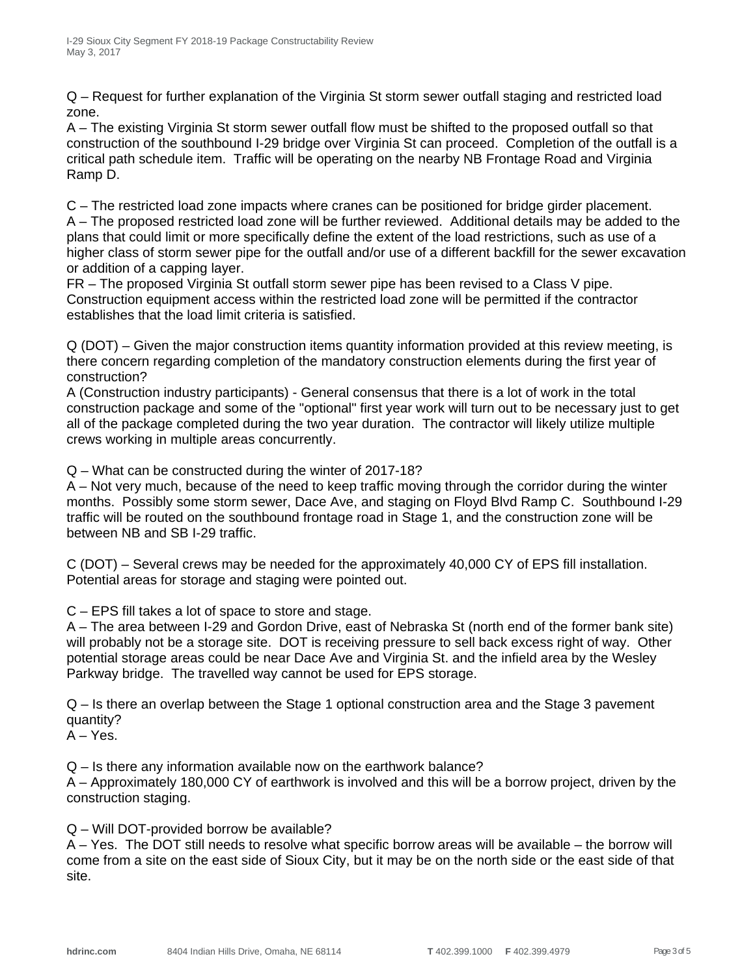Q – Request for further explanation of the Virginia St storm sewer outfall staging and restricted load zone.

A – The existing Virginia St storm sewer outfall flow must be shifted to the proposed outfall so that construction of the southbound I-29 bridge over Virginia St can proceed. Completion of the outfall is a critical path schedule item. Traffic will be operating on the nearby NB Frontage Road and Virginia Ramp D.

C – The restricted load zone impacts where cranes can be positioned for bridge girder placement. A – The proposed restricted load zone will be further reviewed. Additional details may be added to the plans that could limit or more specifically define the extent of the load restrictions, such as use of a higher class of storm sewer pipe for the outfall and/or use of a different backfill for the sewer excavation or addition of a capping layer.

FR – The proposed Virginia St outfall storm sewer pipe has been revised to a Class V pipe. Construction equipment access within the restricted load zone will be permitted if the contractor establishes that the load limit criteria is satisfied.

Q (DOT) – Given the major construction items quantity information provided at this review meeting, is there concern regarding completion of the mandatory construction elements during the first year of construction?

A (Construction industry participants) - General consensus that there is a lot of work in the total construction package and some of the "optional" first year work will turn out to be necessary just to get all of the package completed during the two year duration. The contractor will likely utilize multiple crews working in multiple areas concurrently.

Q – What can be constructed during the winter of 2017-18?

A – Not very much, because of the need to keep traffic moving through the corridor during the winter months. Possibly some storm sewer, Dace Ave, and staging on Floyd Blvd Ramp C. Southbound I-29 traffic will be routed on the southbound frontage road in Stage 1, and the construction zone will be between NB and SB I-29 traffic.

C (DOT) – Several crews may be needed for the approximately 40,000 CY of EPS fill installation. Potential areas for storage and staging were pointed out.

C – EPS fill takes a lot of space to store and stage.

A – The area between I-29 and Gordon Drive, east of Nebraska St (north end of the former bank site) will probably not be a storage site. DOT is receiving pressure to sell back excess right of way. Other potential storage areas could be near Dace Ave and Virginia St. and the infield area by the Wesley Parkway bridge. The travelled way cannot be used for EPS storage.

Q – Is there an overlap between the Stage 1 optional construction area and the Stage 3 pavement quantity?

 $A - Yes$ .

Q – Is there any information available now on the earthwork balance?

A – Approximately 180,000 CY of earthwork is involved and this will be a borrow project, driven by the construction staging.

Q – Will DOT-provided borrow be available?

A – Yes. The DOT still needs to resolve what specific borrow areas will be available – the borrow will come from a site on the east side of Sioux City, but it may be on the north side or the east side of that site.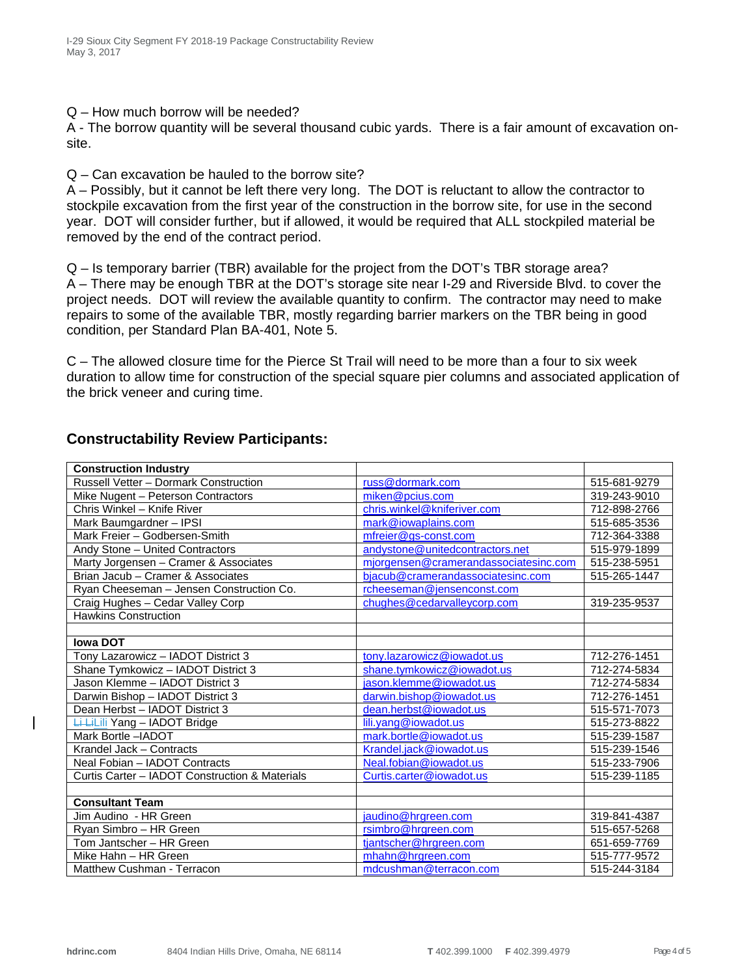Q – How much borrow will be needed?

A - The borrow quantity will be several thousand cubic yards. There is a fair amount of excavation onsite.

Q – Can excavation be hauled to the borrow site?

A – Possibly, but it cannot be left there very long. The DOT is reluctant to allow the contractor to stockpile excavation from the first year of the construction in the borrow site, for use in the second year. DOT will consider further, but if allowed, it would be required that ALL stockpiled material be removed by the end of the contract period.

Q – Is temporary barrier (TBR) available for the project from the DOT's TBR storage area? A – There may be enough TBR at the DOT's storage site near I-29 and Riverside Blvd. to cover the project needs. DOT will review the available quantity to confirm. The contractor may need to make repairs to some of the available TBR, mostly regarding barrier markers on the TBR being in good condition, per Standard Plan BA-401, Note 5.

C – The allowed closure time for the Pierce St Trail will need to be more than a four to six week duration to allow time for construction of the special square pier columns and associated application of the brick veneer and curing time.

| <b>Construction Industry</b>                   |                                       |              |
|------------------------------------------------|---------------------------------------|--------------|
| Russell Vetter - Dormark Construction          | russ@dormark.com                      | 515-681-9279 |
| Mike Nugent - Peterson Contractors             | miken@pcius.com                       | 319-243-9010 |
| Chris Winkel - Knife River                     | chris.winkel@kniferiver.com           | 712-898-2766 |
| Mark Baumgardner - IPSI                        | mark@iowaplains.com                   | 515-685-3536 |
| Mark Freier - Godbersen-Smith                  | mfreier@gs-const.com                  | 712-364-3388 |
| Andy Stone - United Contractors                | andystone@unitedcontractors.net       | 515-979-1899 |
| Marty Jorgensen - Cramer & Associates          | mjorgensen@cramerandassociatesinc.com | 515-238-5951 |
| Brian Jacub - Cramer & Associates              | bjacub@cramerandassociatesinc.com     | 515-265-1447 |
| Ryan Cheeseman - Jensen Construction Co.       | rcheeseman@jensenconst.com            |              |
| Craig Hughes - Cedar Valley Corp               | chughes@cedarvalleycorp.com           | 319-235-9537 |
| <b>Hawkins Construction</b>                    |                                       |              |
|                                                |                                       |              |
| lowa DOT                                       |                                       |              |
| Tony Lazarowicz - IADOT District 3             | tony.lazarowicz@iowadot.us            | 712-276-1451 |
| Shane Tymkowicz - IADOT District 3             | shane.tymkowicz@iowadot.us            | 712-274-5834 |
| Jason Klemme - IADOT District 3                | jason.klemme@iowadot.us               | 712-274-5834 |
| Darwin Bishop - IADOT District 3               | darwin.bishop@iowadot.us              | 712-276-1451 |
| Dean Herbst - IADOT District 3                 | dean.herbst@iowadot.us                | 515-571-7073 |
| <b>Li LiLili</b> Yang - IADOT Bridge           | lili.yang@iowadot.us                  | 515-273-8822 |
| Mark Bortle-IADOT                              | mark.bortle@iowadot.us                | 515-239-1587 |
| Krandel Jack - Contracts                       | Krandel.jack@iowadot.us               | 515-239-1546 |
| Neal Fobian - IADOT Contracts                  | Neal.fobian@iowadot.us                | 515-233-7906 |
| Curtis Carter - IADOT Construction & Materials | Curtis.carter@iowadot.us              | 515-239-1185 |
|                                                |                                       |              |
| <b>Consultant Team</b>                         |                                       |              |
| Jim Audino - HR Green                          | jaudino@hrgreen.com                   | 319-841-4387 |
| Ryan Simbro - HR Green                         | rsimbro@hrgreen.com                   | 515-657-5268 |
| Tom Jantscher - HR Green                       | tjantscher@hrgreen.com                | 651-659-7769 |
| Mike Hahn - HR Green                           | mhahn@hrgreen.com                     | 515-777-9572 |
| Matthew Cushman - Terracon                     | mdcushman@terracon.com                | 515-244-3184 |

## **Constructability Review Participants:**